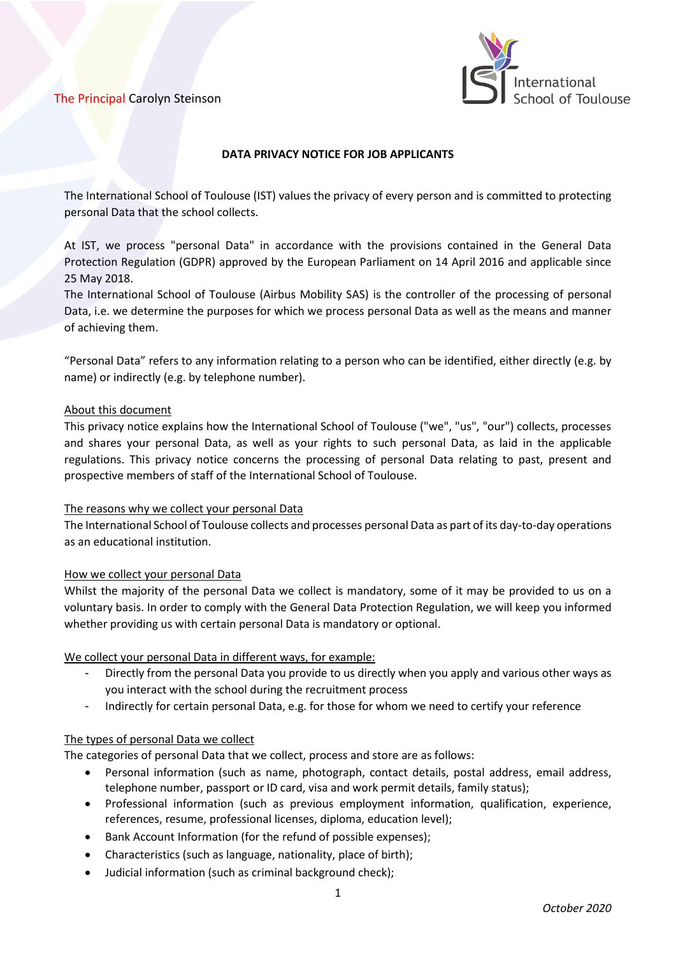

## **DATA PRIVACY NOTICE FOR JOB APPLICANTS**

The International School of Toulouse (IST) values the privacy of every person and is committed to protecting personal Data that the school collects.

At IST, we process "personal Data" in accordance with the provisions contained in the General Data Protection Regulation (GDPR) approved by the European Parliament on 14 April 2016 and applicable since 25 May 2018.

The International School of Toulouse (Airbus Mobility SAS) is the controller of the processing of personal Data, i.e. we determine the purposes for which we process personal Data as well as the means and manner of achieving them.

"Personal Data" refers to any information relating to a person who can be identified, either directly (e.g. by name) or indirectly (e.g. by telephone number).

#### About this document

This privacy notice explains how the International School of Toulouse ("we", "us", "our") collects, processes and shares your personal Data, as well as your rights to such personal Data, as laid in the applicable regulations. This privacy notice concerns the processing of personal Data relating to past, present and prospective members of staff of the International School of Toulouse.

#### The reasons why we collect your personal Data

The International School of Toulouse collects and processes personal Data as part of its day-to-day operations as an educational institution.

#### How we collect your personal Data

Whilst the majority of the personal Data we collect is mandatory, some of it may be provided to us on a voluntary basis. In order to comply with the General Data Protection Regulation, we will keep you informed whether providing us with certain personal Data is mandatory or optional.

#### We collect your personal Data in different ways, for example:

- Directly from the personal Data you provide to us directly when you apply and various other ways as you interact with the school during the recruitment process
- Indirectly for certain personal Data, e.g. for those for whom we need to certify your reference

#### The types of personal Data we collect

The categories of personal Data that we collect, process and store are as follows:

- Personal information (such as name, photograph, contact details, postal address, email address, telephone number, passport or ID card, visa and work permit details, family status);
- Professional information (such as previous employment information, qualification, experience, references, resume, professional licenses, diploma, education level);
- Bank Account Information (for the refund of possible expenses);
- Characteristics (such as language, nationality, place of birth);
- Judicial information (such as criminal background check);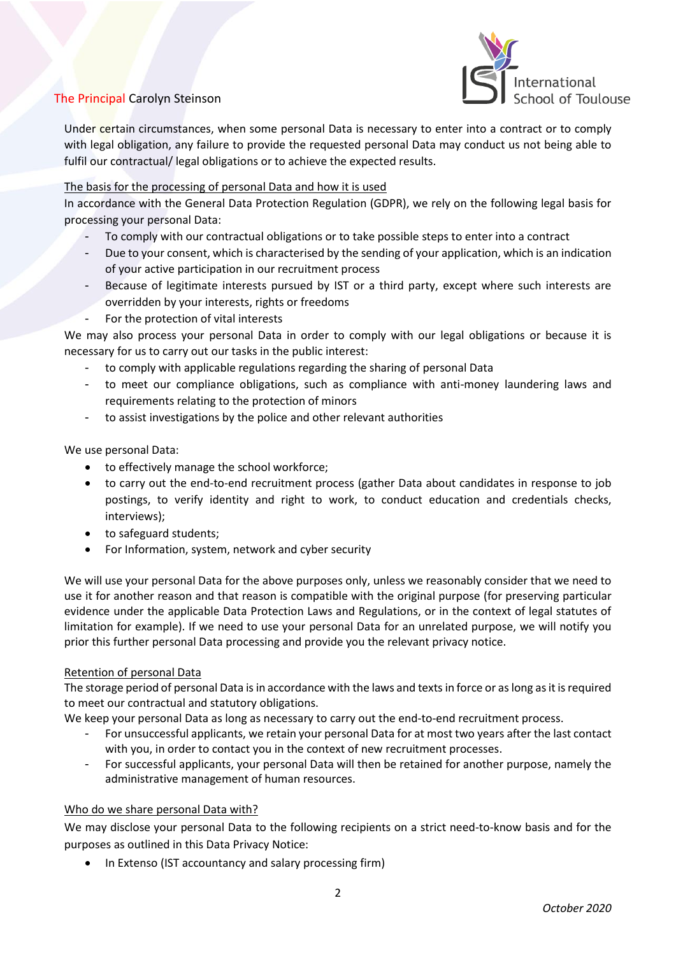

Under certain circumstances, when some personal Data is necessary to enter into a contract or to comply with legal obligation, any failure to provide the requested personal Data may conduct us not being able to fulfil our contractual/ legal obligations or to achieve the expected results.

## The basis for the processing of personal Data and how it is used

In accordance with the General Data Protection Regulation (GDPR), we rely on the following legal basis for processing your personal Data:

- To comply with our contractual obligations or to take possible steps to enter into a contract
- Due to your consent, which is characterised by the sending of your application, which is an indication of your active participation in our recruitment process
- Because of legitimate interests pursued by IST or a third party, except where such interests are overridden by your interests, rights or freedoms
- For the protection of vital interests

We may also process your personal Data in order to comply with our legal obligations or because it is necessary for us to carry out our tasks in the public interest:

- to comply with applicable regulations regarding the sharing of personal Data
- to meet our compliance obligations, such as compliance with anti-money laundering laws and requirements relating to the protection of minors
- to assist investigations by the police and other relevant authorities

We use personal Data:

- to effectively manage the school workforce;
- to carry out the end-to-end recruitment process (gather Data about candidates in response to job postings, to verify identity and right to work, to conduct education and credentials checks, interviews);
- to safeguard students;
- For Information, system, network and cyber security

We will use your personal Data for the above purposes only, unless we reasonably consider that we need to use it for another reason and that reason is compatible with the original purpose (for preserving particular evidence under the applicable Data Protection Laws and Regulations, or in the context of legal statutes of limitation for example). If we need to use your personal Data for an unrelated purpose, we will notify you prior this further personal Data processing and provide you the relevant privacy notice.

#### Retention of personal Data

The storage period of personal Data is in accordance with the laws and texts in force or as long as it is required to meet our contractual and statutory obligations.

We keep your personal Data as long as necessary to carry out the end-to-end recruitment process.

- For unsuccessful applicants, we retain your personal Data for at most two years after the last contact with you, in order to contact you in the context of new recruitment processes.
- For successful applicants, your personal Data will then be retained for another purpose, namely the administrative management of human resources.

#### Who do we share personal Data with?

We may disclose your personal Data to the following recipients on a strict need-to-know basis and for the purposes as outlined in this Data Privacy Notice:

In Extenso (IST accountancy and salary processing firm)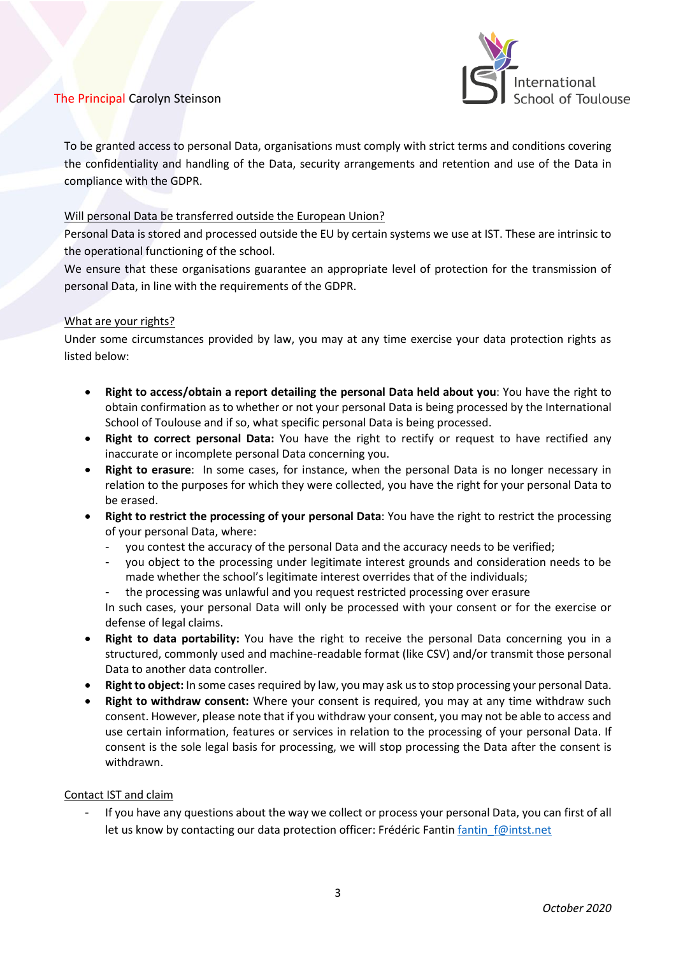

To be granted access to personal Data, organisations must comply with strict terms and conditions covering the confidentiality and handling of the Data, security arrangements and retention and use of the Data in compliance with the GDPR.

## Will personal Data be transferred outside the European Union?

Personal Data is stored and processed outside the EU by certain systems we use at IST. These are intrinsic to the operational functioning of the school.

We ensure that these organisations guarantee an appropriate level of protection for the transmission of personal Data, in line with the requirements of the GDPR.

## What are your rights?

Under some circumstances provided by law, you may at any time exercise your data protection rights as listed below:

- **Right to access/obtain a report detailing the personal Data held about you**: You have the right to obtain confirmation as to whether or not your personal Data is being processed by the International School of Toulouse and if so, what specific personal Data is being processed.
- **Right to correct personal Data:** You have the right to rectify or request to have rectified any inaccurate or incomplete personal Data concerning you.
- **Right to erasure**: In some cases, for instance, when the personal Data is no longer necessary in relation to the purposes for which they were collected, you have the right for your personal Data to be erased.
- **Right to restrict the processing of your personal Data**: You have the right to restrict the processing of your personal Data, where:
	- you contest the accuracy of the personal Data and the accuracy needs to be verified;
	- you object to the processing under legitimate interest grounds and consideration needs to be made whether the school's legitimate interest overrides that of the individuals;
	- the processing was unlawful and you request restricted processing over erasure

In such cases, your personal Data will only be processed with your consent or for the exercise or defense of legal claims.

- **Right to data portability:** You have the right to receive the personal Data concerning you in a structured, commonly used and machine-readable format (like CSV) and/or transmit those personal Data to another data controller.
- **Right to object:** In some cases required by law, you may ask us to stop processing your personal Data.
- **Right to withdraw consent:** Where your consent is required, you may at any time withdraw such consent. However, please note that if you withdraw your consent, you may not be able to access and use certain information, features or services in relation to the processing of your personal Data. If consent is the sole legal basis for processing, we will stop processing the Data after the consent is withdrawn.

## Contact IST and claim

If you have any questions about the way we collect or process your personal Data, you can first of all let us know by contacting our data protection officer: Frédéric Fantin fantin f@intst.net